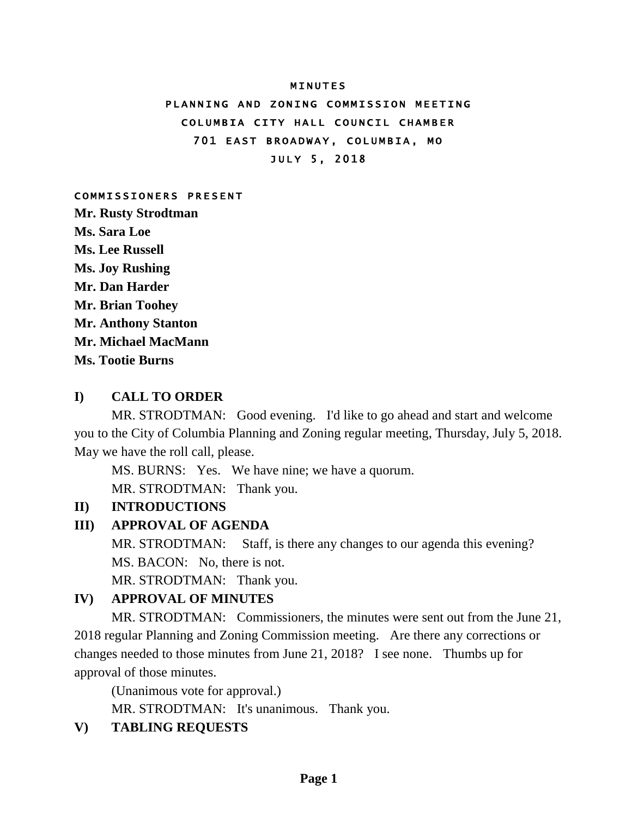#### **MINUTES**

# PLANNING AND ZONING COMMISSION MEETING COLUMBIA CITY HALL COUNCIL CHAMBER 701 EAST BROADWAY, COLUMBIA, MO JULY 5, 2018

#### COMMISSIONERS PRESENT

**Mr. Rusty Strodtman Ms. Sara Loe Ms. Lee Russell Ms. Joy Rushing Mr. Dan Harder Mr. Brian Toohey Mr. Anthony Stanton Mr. Michael MacMann Ms. Tootie Burns**

#### **I) CALL TO ORDER**

MR. STRODTMAN: Good evening. I'd like to go ahead and start and welcome you to the City of Columbia Planning and Zoning regular meeting, Thursday, July 5, 2018. May we have the roll call, please.

MS. BURNS: Yes. We have nine; we have a quorum. MR. STRODTMAN: Thank you.

#### **II) INTRODUCTIONS**

#### **III) APPROVAL OF AGENDA**

MR. STRODTMAN: Staff, is there any changes to our agenda this evening? MS. BACON: No, there is not.

MR. STRODTMAN: Thank you.

### **IV) APPROVAL OF MINUTES**

MR. STRODTMAN: Commissioners, the minutes were sent out from the June 21, 2018 regular Planning and Zoning Commission meeting. Are there any corrections or changes needed to those minutes from June 21, 2018? I see none. Thumbs up for approval of those minutes.

(Unanimous vote for approval.)

MR. STRODTMAN: It's unanimous. Thank you.

# **V) TABLING REQUESTS**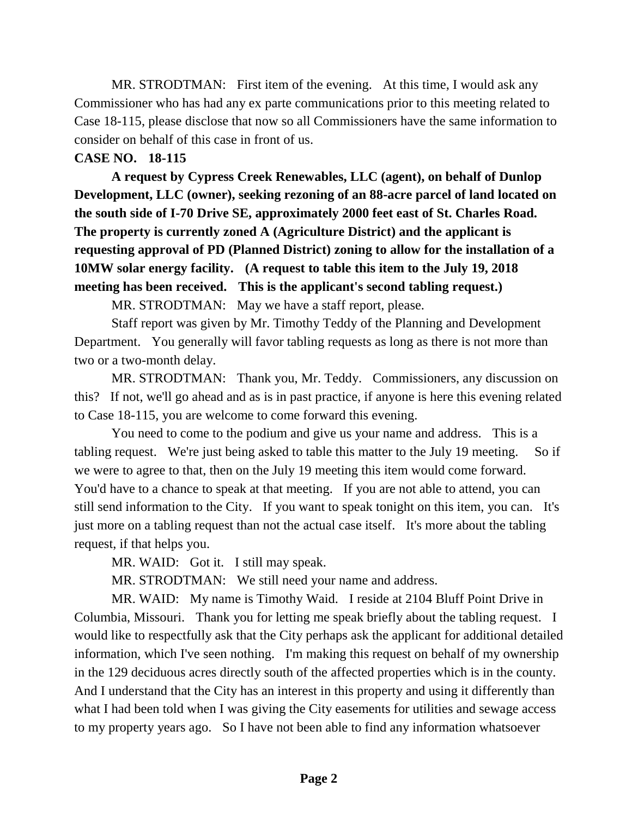MR. STRODTMAN: First item of the evening. At this time, I would ask any Commissioner who has had any ex parte communications prior to this meeting related to Case 18-115, please disclose that now so all Commissioners have the same information to consider on behalf of this case in front of us.

# **CASE NO. 18-115**

**A request by Cypress Creek Renewables, LLC (agent), on behalf of Dunlop Development, LLC (owner), seeking rezoning of an 88-acre parcel of land located on the south side of I-70 Drive SE, approximately 2000 feet east of St. Charles Road. The property is currently zoned A (Agriculture District) and the applicant is requesting approval of PD (Planned District) zoning to allow for the installation of a 10MW solar energy facility. (A request to table this item to the July 19, 2018 meeting has been received. This is the applicant's second tabling request.)** 

MR. STRODTMAN: May we have a staff report, please.

Staff report was given by Mr. Timothy Teddy of the Planning and Development Department. You generally will favor tabling requests as long as there is not more than two or a two-month delay.

MR. STRODTMAN: Thank you, Mr. Teddy. Commissioners, any discussion on this? If not, we'll go ahead and as is in past practice, if anyone is here this evening related to Case 18-115, you are welcome to come forward this evening.

You need to come to the podium and give us your name and address. This is a tabling request. We're just being asked to table this matter to the July 19 meeting. So if we were to agree to that, then on the July 19 meeting this item would come forward. You'd have to a chance to speak at that meeting. If you are not able to attend, you can still send information to the City. If you want to speak tonight on this item, you can. It's just more on a tabling request than not the actual case itself. It's more about the tabling request, if that helps you.

MR. WAID: Got it. I still may speak.

MR. STRODTMAN: We still need your name and address.

MR. WAID: My name is Timothy Waid. I reside at 2104 Bluff Point Drive in Columbia, Missouri. Thank you for letting me speak briefly about the tabling request. I would like to respectfully ask that the City perhaps ask the applicant for additional detailed information, which I've seen nothing. I'm making this request on behalf of my ownership in the 129 deciduous acres directly south of the affected properties which is in the county. And I understand that the City has an interest in this property and using it differently than what I had been told when I was giving the City easements for utilities and sewage access to my property years ago. So I have not been able to find any information whatsoever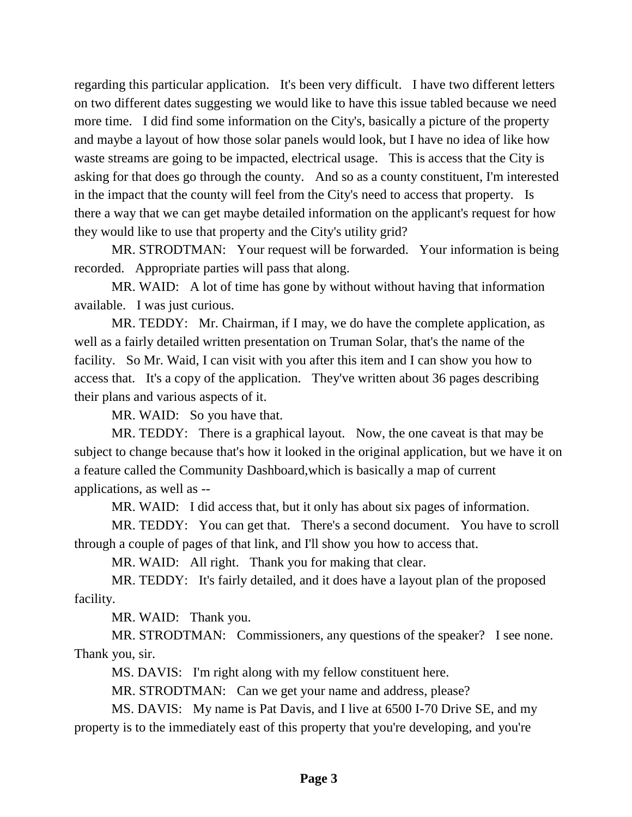regarding this particular application. It's been very difficult. I have two different letters on two different dates suggesting we would like to have this issue tabled because we need more time. I did find some information on the City's, basically a picture of the property and maybe a layout of how those solar panels would look, but I have no idea of like how waste streams are going to be impacted, electrical usage. This is access that the City is asking for that does go through the county. And so as a county constituent, I'm interested in the impact that the county will feel from the City's need to access that property. Is there a way that we can get maybe detailed information on the applicant's request for how they would like to use that property and the City's utility grid?

MR. STRODTMAN: Your request will be forwarded. Your information is being recorded. Appropriate parties will pass that along.

MR. WAID: A lot of time has gone by without without having that information available. I was just curious.

MR. TEDDY: Mr. Chairman, if I may, we do have the complete application, as well as a fairly detailed written presentation on Truman Solar, that's the name of the facility. So Mr. Waid, I can visit with you after this item and I can show you how to access that. It's a copy of the application. They've written about 36 pages describing their plans and various aspects of it.

MR. WAID: So you have that.

MR. TEDDY: There is a graphical layout. Now, the one caveat is that may be subject to change because that's how it looked in the original application, but we have it on a feature called the Community Dashboard,which is basically a map of current applications, as well as --

MR. WAID: I did access that, but it only has about six pages of information.

MR. TEDDY: You can get that. There's a second document. You have to scroll through a couple of pages of that link, and I'll show you how to access that.

MR. WAID: All right. Thank you for making that clear.

MR. TEDDY: It's fairly detailed, and it does have a layout plan of the proposed facility.

MR. WAID: Thank you.

MR. STRODTMAN: Commissioners, any questions of the speaker? I see none. Thank you, sir.

MS. DAVIS: I'm right along with my fellow constituent here.

MR. STRODTMAN: Can we get your name and address, please?

MS. DAVIS: My name is Pat Davis, and I live at 6500 I-70 Drive SE, and my property is to the immediately east of this property that you're developing, and you're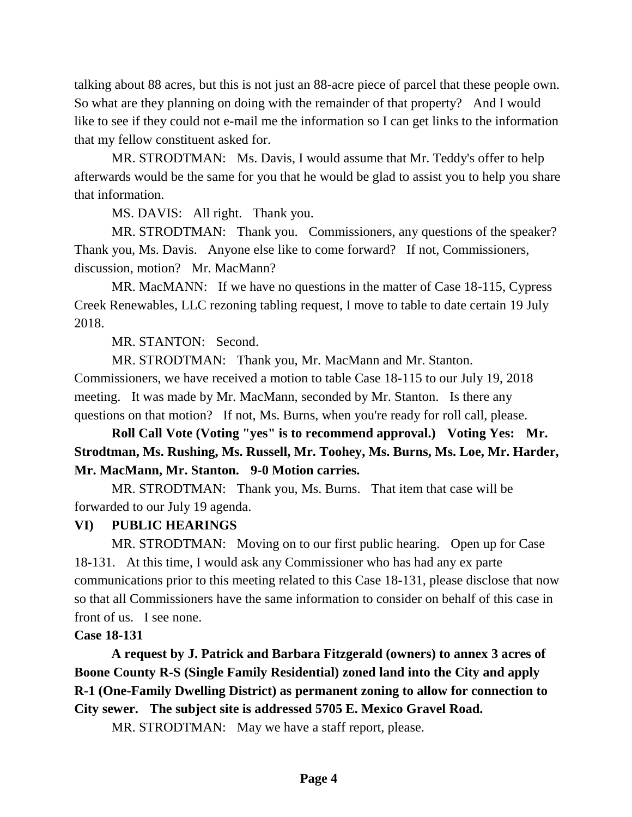talking about 88 acres, but this is not just an 88-acre piece of parcel that these people own. So what are they planning on doing with the remainder of that property? And I would like to see if they could not e-mail me the information so I can get links to the information that my fellow constituent asked for.

MR. STRODTMAN: Ms. Davis, I would assume that Mr. Teddy's offer to help afterwards would be the same for you that he would be glad to assist you to help you share that information.

MS. DAVIS: All right. Thank you.

MR. STRODTMAN: Thank you. Commissioners, any questions of the speaker? Thank you, Ms. Davis. Anyone else like to come forward? If not, Commissioners, discussion, motion? Mr. MacMann?

MR. MacMANN: If we have no questions in the matter of Case 18-115, Cypress Creek Renewables, LLC rezoning tabling request, I move to table to date certain 19 July 2018.

MR. STANTON: Second.

MR. STRODTMAN: Thank you, Mr. MacMann and Mr. Stanton. Commissioners, we have received a motion to table Case 18-115 to our July 19, 2018 meeting. It was made by Mr. MacMann, seconded by Mr. Stanton. Is there any questions on that motion? If not, Ms. Burns, when you're ready for roll call, please.

**Roll Call Vote (Voting "yes" is to recommend approval.) Voting Yes: Mr. Strodtman, Ms. Rushing, Ms. Russell, Mr. Toohey, Ms. Burns, Ms. Loe, Mr. Harder, Mr. MacMann, Mr. Stanton. 9-0 Motion carries.**

MR. STRODTMAN: Thank you, Ms. Burns. That item that case will be forwarded to our July 19 agenda.

# **VI) PUBLIC HEARINGS**

MR. STRODTMAN: Moving on to our first public hearing. Open up for Case 18-131. At this time, I would ask any Commissioner who has had any ex parte communications prior to this meeting related to this Case 18-131, please disclose that now so that all Commissioners have the same information to consider on behalf of this case in front of us. I see none.

### **Case 18-131**

**A request by J. Patrick and Barbara Fitzgerald (owners) to annex 3 acres of Boone County R-S (Single Family Residential) zoned land into the City and apply R-1 (One-Family Dwelling District) as permanent zoning to allow for connection to City sewer. The subject site is addressed 5705 E. Mexico Gravel Road.** 

MR. STRODTMAN: May we have a staff report, please.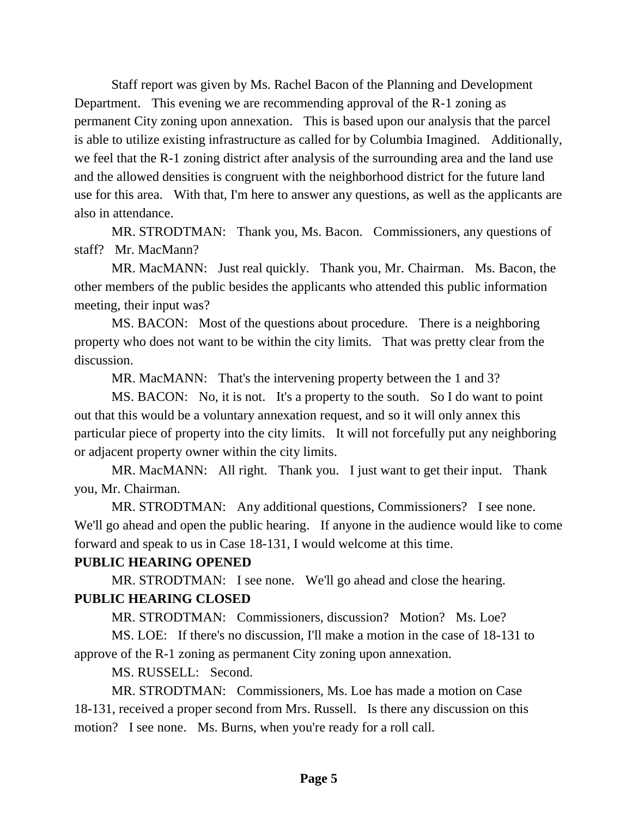Staff report was given by Ms. Rachel Bacon of the Planning and Development Department. This evening we are recommending approval of the R-1 zoning as permanent City zoning upon annexation. This is based upon our analysis that the parcel is able to utilize existing infrastructure as called for by Columbia Imagined. Additionally, we feel that the R-1 zoning district after analysis of the surrounding area and the land use and the allowed densities is congruent with the neighborhood district for the future land use for this area. With that, I'm here to answer any questions, as well as the applicants are also in attendance.

MR. STRODTMAN: Thank you, Ms. Bacon. Commissioners, any questions of staff? Mr. MacMann?

MR. MacMANN: Just real quickly. Thank you, Mr. Chairman. Ms. Bacon, the other members of the public besides the applicants who attended this public information meeting, their input was?

MS. BACON: Most of the questions about procedure. There is a neighboring property who does not want to be within the city limits. That was pretty clear from the discussion.

MR. MacMANN: That's the intervening property between the 1 and 3?

MS. BACON: No, it is not. It's a property to the south. So I do want to point out that this would be a voluntary annexation request, and so it will only annex this particular piece of property into the city limits. It will not forcefully put any neighboring or adjacent property owner within the city limits.

MR. MacMANN: All right. Thank you. I just want to get their input. Thank you, Mr. Chairman.

MR. STRODTMAN: Any additional questions, Commissioners? I see none. We'll go ahead and open the public hearing. If anyone in the audience would like to come forward and speak to us in Case 18-131, I would welcome at this time.

## **PUBLIC HEARING OPENED**

MR. STRODTMAN: I see none. We'll go ahead and close the hearing. **PUBLIC HEARING CLOSED**

MR. STRODTMAN: Commissioners, discussion? Motion? Ms. Loe?

MS. LOE: If there's no discussion, I'll make a motion in the case of 18-131 to approve of the R-1 zoning as permanent City zoning upon annexation.

MS. RUSSELL: Second.

MR. STRODTMAN: Commissioners, Ms. Loe has made a motion on Case 18-131, received a proper second from Mrs. Russell. Is there any discussion on this motion? I see none. Ms. Burns, when you're ready for a roll call.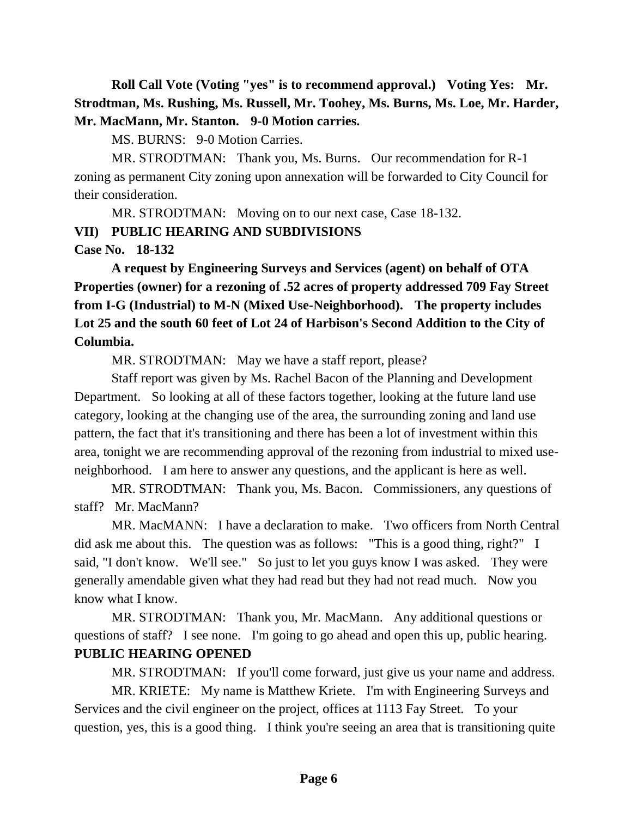**Roll Call Vote (Voting "yes" is to recommend approval.) Voting Yes: Mr. Strodtman, Ms. Rushing, Ms. Russell, Mr. Toohey, Ms. Burns, Ms. Loe, Mr. Harder, Mr. MacMann, Mr. Stanton. 9-0 Motion carries.**

MS. BURNS: 9-0 Motion Carries.

MR. STRODTMAN: Thank you, Ms. Burns. Our recommendation for R-1 zoning as permanent City zoning upon annexation will be forwarded to City Council for their consideration.

MR. STRODTMAN: Moving on to our next case, Case 18-132.

**VII) PUBLIC HEARING AND SUBDIVISIONS**

**Case No. 18-132**

**A request by Engineering Surveys and Services (agent) on behalf of OTA Properties (owner) for a rezoning of .52 acres of property addressed 709 Fay Street from I-G (Industrial) to M-N (Mixed Use-Neighborhood). The property includes Lot 25 and the south 60 feet of Lot 24 of Harbison's Second Addition to the City of Columbia.** 

MR. STRODTMAN: May we have a staff report, please?

Staff report was given by Ms. Rachel Bacon of the Planning and Development Department. So looking at all of these factors together, looking at the future land use category, looking at the changing use of the area, the surrounding zoning and land use pattern, the fact that it's transitioning and there has been a lot of investment within this area, tonight we are recommending approval of the rezoning from industrial to mixed useneighborhood. I am here to answer any questions, and the applicant is here as well.

MR. STRODTMAN: Thank you, Ms. Bacon. Commissioners, any questions of staff? Mr. MacMann?

MR. MacMANN: I have a declaration to make. Two officers from North Central did ask me about this. The question was as follows: "This is a good thing, right?" I said, "I don't know. We'll see." So just to let you guys know I was asked. They were generally amendable given what they had read but they had not read much. Now you know what I know.

MR. STRODTMAN: Thank you, Mr. MacMann. Any additional questions or questions of staff? I see none. I'm going to go ahead and open this up, public hearing. **PUBLIC HEARING OPENED**

MR. STRODTMAN: If you'll come forward, just give us your name and address.

MR. KRIETE: My name is Matthew Kriete. I'm with Engineering Surveys and Services and the civil engineer on the project, offices at 1113 Fay Street. To your question, yes, this is a good thing. I think you're seeing an area that is transitioning quite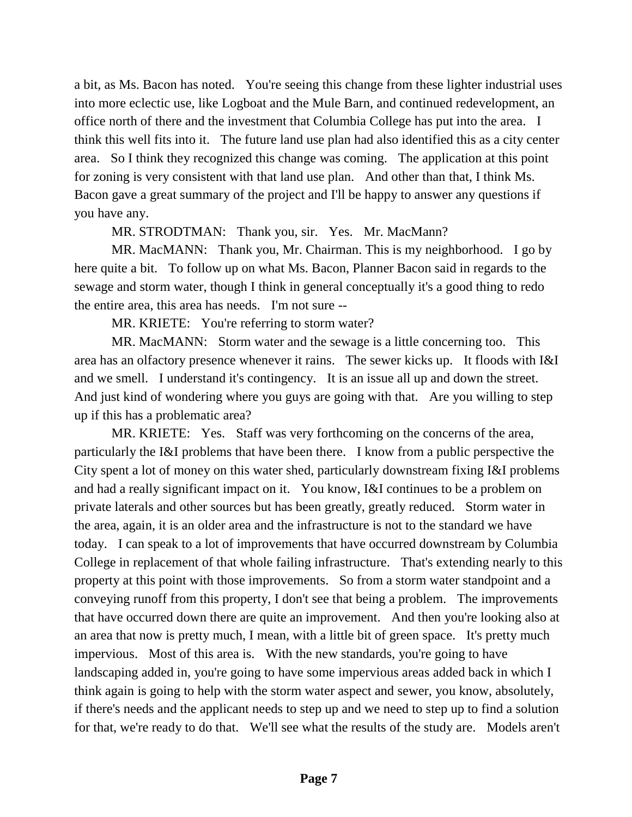a bit, as Ms. Bacon has noted. You're seeing this change from these lighter industrial uses into more eclectic use, like Logboat and the Mule Barn, and continued redevelopment, an office north of there and the investment that Columbia College has put into the area. I think this well fits into it. The future land use plan had also identified this as a city center area. So I think they recognized this change was coming. The application at this point for zoning is very consistent with that land use plan. And other than that, I think Ms. Bacon gave a great summary of the project and I'll be happy to answer any questions if you have any.

MR. STRODTMAN: Thank you, sir. Yes. Mr. MacMann?

MR. MacMANN: Thank you, Mr. Chairman. This is my neighborhood. I go by here quite a bit. To follow up on what Ms. Bacon, Planner Bacon said in regards to the sewage and storm water, though I think in general conceptually it's a good thing to redo the entire area, this area has needs. I'm not sure --

MR. KRIETE: You're referring to storm water?

MR. MacMANN: Storm water and the sewage is a little concerning too. This area has an olfactory presence whenever it rains. The sewer kicks up. It floods with I&I and we smell. I understand it's contingency. It is an issue all up and down the street. And just kind of wondering where you guys are going with that. Are you willing to step up if this has a problematic area?

MR. KRIETE: Yes. Staff was very forthcoming on the concerns of the area, particularly the I&I problems that have been there. I know from a public perspective the City spent a lot of money on this water shed, particularly downstream fixing I&I problems and had a really significant impact on it. You know, I&I continues to be a problem on private laterals and other sources but has been greatly, greatly reduced. Storm water in the area, again, it is an older area and the infrastructure is not to the standard we have today. I can speak to a lot of improvements that have occurred downstream by Columbia College in replacement of that whole failing infrastructure. That's extending nearly to this property at this point with those improvements. So from a storm water standpoint and a conveying runoff from this property, I don't see that being a problem. The improvements that have occurred down there are quite an improvement. And then you're looking also at an area that now is pretty much, I mean, with a little bit of green space. It's pretty much impervious. Most of this area is. With the new standards, you're going to have landscaping added in, you're going to have some impervious areas added back in which I think again is going to help with the storm water aspect and sewer, you know, absolutely, if there's needs and the applicant needs to step up and we need to step up to find a solution for that, we're ready to do that. We'll see what the results of the study are. Models aren't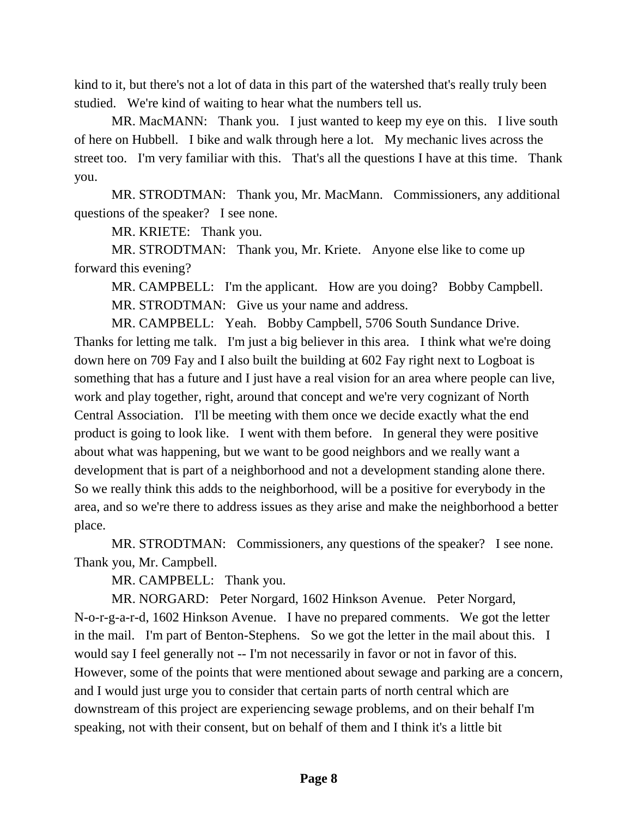kind to it, but there's not a lot of data in this part of the watershed that's really truly been studied. We're kind of waiting to hear what the numbers tell us.

MR. MacMANN: Thank you. I just wanted to keep my eye on this. I live south of here on Hubbell. I bike and walk through here a lot. My mechanic lives across the street too. I'm very familiar with this. That's all the questions I have at this time. Thank you.

MR. STRODTMAN: Thank you, Mr. MacMann. Commissioners, any additional questions of the speaker? I see none.

MR. KRIETE: Thank you.

MR. STRODTMAN: Thank you, Mr. Kriete. Anyone else like to come up forward this evening?

MR. CAMPBELL: I'm the applicant. How are you doing? Bobby Campbell. MR. STRODTMAN: Give us your name and address.

MR. CAMPBELL: Yeah. Bobby Campbell, 5706 South Sundance Drive. Thanks for letting me talk. I'm just a big believer in this area. I think what we're doing down here on 709 Fay and I also built the building at 602 Fay right next to Logboat is something that has a future and I just have a real vision for an area where people can live, work and play together, right, around that concept and we're very cognizant of North Central Association. I'll be meeting with them once we decide exactly what the end product is going to look like. I went with them before. In general they were positive about what was happening, but we want to be good neighbors and we really want a development that is part of a neighborhood and not a development standing alone there. So we really think this adds to the neighborhood, will be a positive for everybody in the area, and so we're there to address issues as they arise and make the neighborhood a better place.

MR. STRODTMAN: Commissioners, any questions of the speaker? I see none. Thank you, Mr. Campbell.

MR. CAMPBELL: Thank you.

MR. NORGARD: Peter Norgard, 1602 Hinkson Avenue. Peter Norgard, N-o-r-g-a-r-d, 1602 Hinkson Avenue. I have no prepared comments. We got the letter in the mail. I'm part of Benton-Stephens. So we got the letter in the mail about this. I would say I feel generally not -- I'm not necessarily in favor or not in favor of this. However, some of the points that were mentioned about sewage and parking are a concern, and I would just urge you to consider that certain parts of north central which are downstream of this project are experiencing sewage problems, and on their behalf I'm speaking, not with their consent, but on behalf of them and I think it's a little bit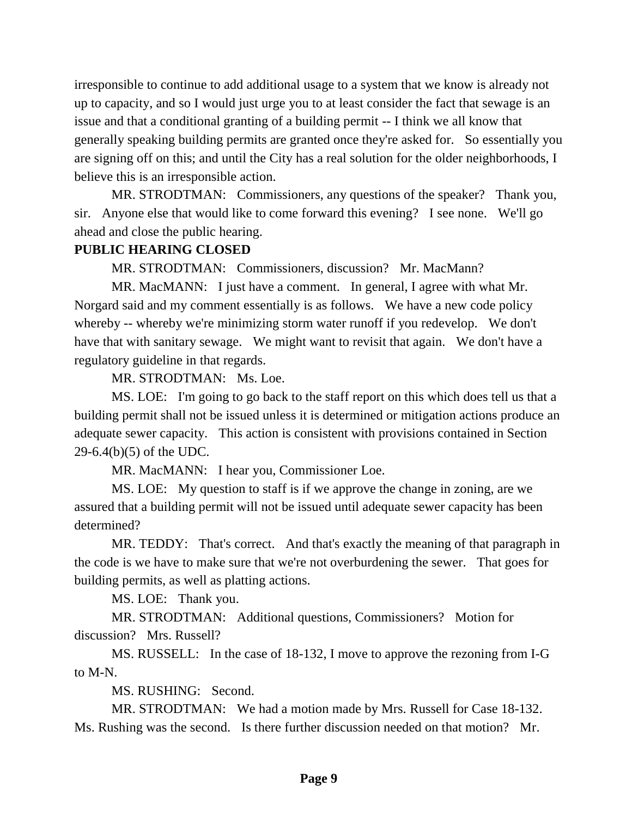irresponsible to continue to add additional usage to a system that we know is already not up to capacity, and so I would just urge you to at least consider the fact that sewage is an issue and that a conditional granting of a building permit -- I think we all know that generally speaking building permits are granted once they're asked for. So essentially you are signing off on this; and until the City has a real solution for the older neighborhoods, I believe this is an irresponsible action.

MR. STRODTMAN: Commissioners, any questions of the speaker? Thank you, sir. Anyone else that would like to come forward this evening? I see none. We'll go ahead and close the public hearing.

### **PUBLIC HEARING CLOSED**

MR. STRODTMAN: Commissioners, discussion? Mr. MacMann?

MR. MacMANN: I just have a comment. In general, I agree with what Mr. Norgard said and my comment essentially is as follows. We have a new code policy whereby -- whereby we're minimizing storm water runoff if you redevelop. We don't have that with sanitary sewage. We might want to revisit that again. We don't have a regulatory guideline in that regards.

MR. STRODTMAN: Ms. Loe.

MS. LOE: I'm going to go back to the staff report on this which does tell us that a building permit shall not be issued unless it is determined or mitigation actions produce an adequate sewer capacity. This action is consistent with provisions contained in Section 29-6.4(b)(5) of the UDC.

MR. MacMANN: I hear you, Commissioner Loe.

MS. LOE: My question to staff is if we approve the change in zoning, are we assured that a building permit will not be issued until adequate sewer capacity has been determined?

MR. TEDDY: That's correct. And that's exactly the meaning of that paragraph in the code is we have to make sure that we're not overburdening the sewer. That goes for building permits, as well as platting actions.

MS. LOE: Thank you.

MR. STRODTMAN: Additional questions, Commissioners? Motion for discussion? Mrs. Russell?

MS. RUSSELL: In the case of 18-132, I move to approve the rezoning from I-G to M-N.

MS. RUSHING: Second.

MR. STRODTMAN: We had a motion made by Mrs. Russell for Case 18-132. Ms. Rushing was the second. Is there further discussion needed on that motion? Mr.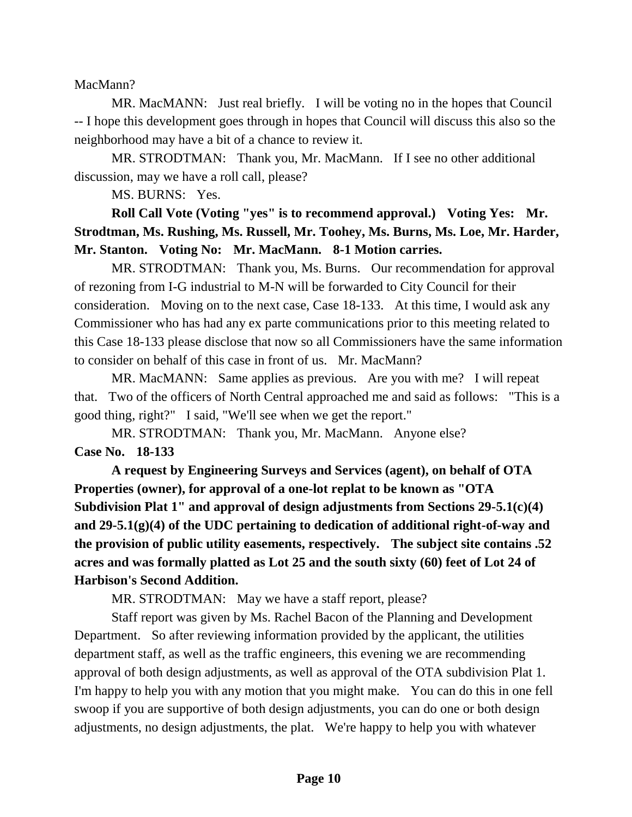MacMann?

MR. MacMANN: Just real briefly. I will be voting no in the hopes that Council -- I hope this development goes through in hopes that Council will discuss this also so the neighborhood may have a bit of a chance to review it.

MR. STRODTMAN: Thank you, Mr. MacMann. If I see no other additional discussion, may we have a roll call, please?

MS. BURNS: Yes.

**Roll Call Vote (Voting "yes" is to recommend approval.) Voting Yes: Mr. Strodtman, Ms. Rushing, Ms. Russell, Mr. Toohey, Ms. Burns, Ms. Loe, Mr. Harder, Mr. Stanton. Voting No: Mr. MacMann. 8-1 Motion carries.**

MR. STRODTMAN: Thank you, Ms. Burns. Our recommendation for approval of rezoning from I-G industrial to M-N will be forwarded to City Council for their consideration. Moving on to the next case, Case 18-133. At this time, I would ask any Commissioner who has had any ex parte communications prior to this meeting related to this Case 18-133 please disclose that now so all Commissioners have the same information to consider on behalf of this case in front of us. Mr. MacMann?

MR. MacMANN: Same applies as previous. Are you with me? I will repeat that. Two of the officers of North Central approached me and said as follows: "This is a good thing, right?" I said, "We'll see when we get the report."

MR. STRODTMAN: Thank you, Mr. MacMann. Anyone else? **Case No. 18-133**

**A request by Engineering Surveys and Services (agent), on behalf of OTA Properties (owner), for approval of a one-lot replat to be known as "OTA Subdivision Plat 1" and approval of design adjustments from Sections 29-5.1(c)(4) and 29-5.1(g)(4) of the UDC pertaining to dedication of additional right-of-way and the provision of public utility easements, respectively. The subject site contains .52 acres and was formally platted as Lot 25 and the south sixty (60) feet of Lot 24 of Harbison's Second Addition.** 

MR. STRODTMAN: May we have a staff report, please?

Staff report was given by Ms. Rachel Bacon of the Planning and Development Department. So after reviewing information provided by the applicant, the utilities department staff, as well as the traffic engineers, this evening we are recommending approval of both design adjustments, as well as approval of the OTA subdivision Plat 1. I'm happy to help you with any motion that you might make. You can do this in one fell swoop if you are supportive of both design adjustments, you can do one or both design adjustments, no design adjustments, the plat. We're happy to help you with whatever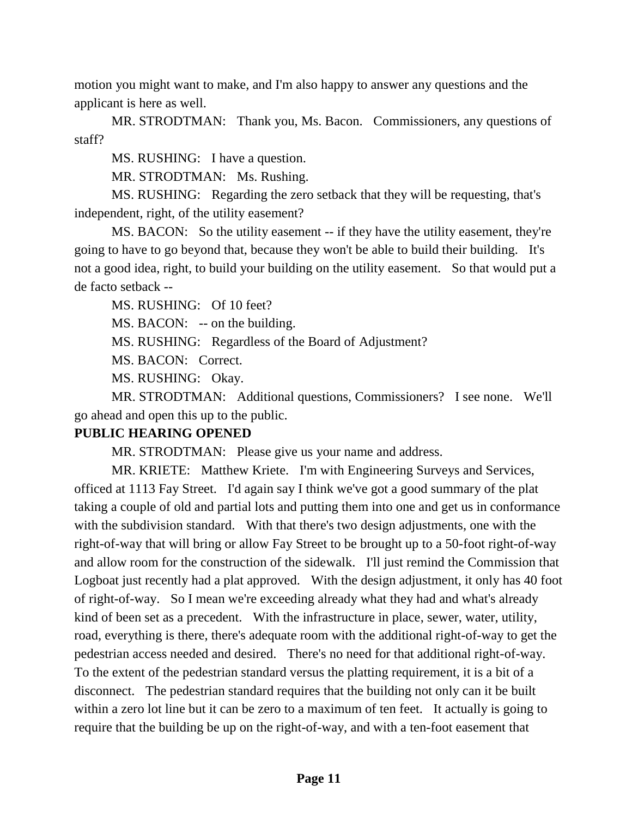motion you might want to make, and I'm also happy to answer any questions and the applicant is here as well.

MR. STRODTMAN: Thank you, Ms. Bacon. Commissioners, any questions of staff?

MS. RUSHING: I have a question.

MR. STRODTMAN: Ms. Rushing.

MS. RUSHING: Regarding the zero setback that they will be requesting, that's independent, right, of the utility easement?

MS. BACON: So the utility easement -- if they have the utility easement, they're going to have to go beyond that, because they won't be able to build their building. It's not a good idea, right, to build your building on the utility easement. So that would put a de facto setback --

MS. RUSHING: Of 10 feet?

MS. BACON: -- on the building.

MS. RUSHING: Regardless of the Board of Adjustment?

MS. BACON: Correct.

MS. RUSHING: Okay.

MR. STRODTMAN: Additional questions, Commissioners? I see none. We'll go ahead and open this up to the public.

# **PUBLIC HEARING OPENED**

MR. STRODTMAN: Please give us your name and address.

MR. KRIETE: Matthew Kriete. I'm with Engineering Surveys and Services, officed at 1113 Fay Street. I'd again say I think we've got a good summary of the plat taking a couple of old and partial lots and putting them into one and get us in conformance with the subdivision standard. With that there's two design adjustments, one with the right-of-way that will bring or allow Fay Street to be brought up to a 50-foot right-of-way and allow room for the construction of the sidewalk. I'll just remind the Commission that Logboat just recently had a plat approved. With the design adjustment, it only has 40 foot of right-of-way. So I mean we're exceeding already what they had and what's already kind of been set as a precedent. With the infrastructure in place, sewer, water, utility, road, everything is there, there's adequate room with the additional right-of-way to get the pedestrian access needed and desired. There's no need for that additional right-of-way. To the extent of the pedestrian standard versus the platting requirement, it is a bit of a disconnect. The pedestrian standard requires that the building not only can it be built within a zero lot line but it can be zero to a maximum of ten feet. It actually is going to require that the building be up on the right-of-way, and with a ten-foot easement that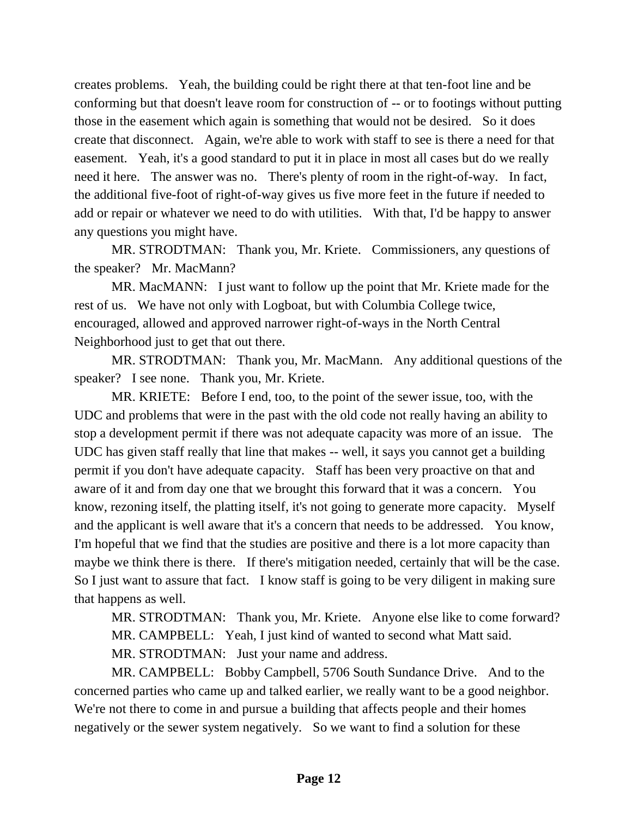creates problems. Yeah, the building could be right there at that ten-foot line and be conforming but that doesn't leave room for construction of -- or to footings without putting those in the easement which again is something that would not be desired. So it does create that disconnect. Again, we're able to work with staff to see is there a need for that easement. Yeah, it's a good standard to put it in place in most all cases but do we really need it here. The answer was no. There's plenty of room in the right-of-way. In fact, the additional five-foot of right-of-way gives us five more feet in the future if needed to add or repair or whatever we need to do with utilities. With that, I'd be happy to answer any questions you might have.

MR. STRODTMAN: Thank you, Mr. Kriete. Commissioners, any questions of the speaker? Mr. MacMann?

MR. MacMANN: I just want to follow up the point that Mr. Kriete made for the rest of us. We have not only with Logboat, but with Columbia College twice, encouraged, allowed and approved narrower right-of-ways in the North Central Neighborhood just to get that out there.

MR. STRODTMAN: Thank you, Mr. MacMann. Any additional questions of the speaker? I see none. Thank you, Mr. Kriete.

MR. KRIETE: Before I end, too, to the point of the sewer issue, too, with the UDC and problems that were in the past with the old code not really having an ability to stop a development permit if there was not adequate capacity was more of an issue. The UDC has given staff really that line that makes -- well, it says you cannot get a building permit if you don't have adequate capacity. Staff has been very proactive on that and aware of it and from day one that we brought this forward that it was a concern. You know, rezoning itself, the platting itself, it's not going to generate more capacity. Myself and the applicant is well aware that it's a concern that needs to be addressed. You know, I'm hopeful that we find that the studies are positive and there is a lot more capacity than maybe we think there is there. If there's mitigation needed, certainly that will be the case. So I just want to assure that fact. I know staff is going to be very diligent in making sure that happens as well.

MR. STRODTMAN: Thank you, Mr. Kriete. Anyone else like to come forward? MR. CAMPBELL: Yeah, I just kind of wanted to second what Matt said. MR. STRODTMAN: Just your name and address.

MR. CAMPBELL: Bobby Campbell, 5706 South Sundance Drive. And to the concerned parties who came up and talked earlier, we really want to be a good neighbor. We're not there to come in and pursue a building that affects people and their homes negatively or the sewer system negatively. So we want to find a solution for these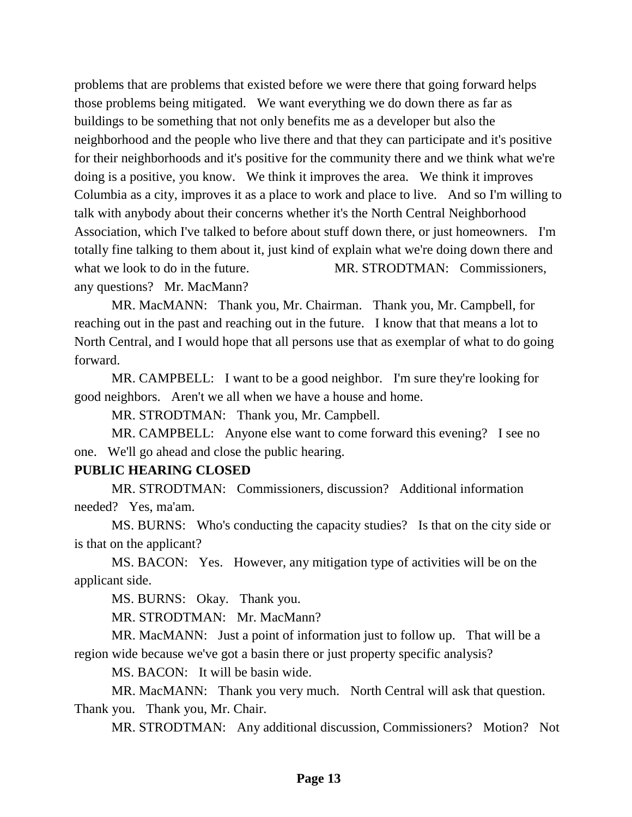problems that are problems that existed before we were there that going forward helps those problems being mitigated. We want everything we do down there as far as buildings to be something that not only benefits me as a developer but also the neighborhood and the people who live there and that they can participate and it's positive for their neighborhoods and it's positive for the community there and we think what we're doing is a positive, you know. We think it improves the area. We think it improves Columbia as a city, improves it as a place to work and place to live. And so I'm willing to talk with anybody about their concerns whether it's the North Central Neighborhood Association, which I've talked to before about stuff down there, or just homeowners. I'm totally fine talking to them about it, just kind of explain what we're doing down there and what we look to do in the future. MR. STRODTMAN: Commissioners, any questions? Mr. MacMann?

MR. MacMANN: Thank you, Mr. Chairman. Thank you, Mr. Campbell, for reaching out in the past and reaching out in the future. I know that that means a lot to North Central, and I would hope that all persons use that as exemplar of what to do going forward.

MR. CAMPBELL: I want to be a good neighbor. I'm sure they're looking for good neighbors. Aren't we all when we have a house and home.

MR. STRODTMAN: Thank you, Mr. Campbell.

MR. CAMPBELL: Anyone else want to come forward this evening? I see no one. We'll go ahead and close the public hearing.

#### **PUBLIC HEARING CLOSED**

MR. STRODTMAN: Commissioners, discussion? Additional information needed? Yes, ma'am.

MS. BURNS: Who's conducting the capacity studies? Is that on the city side or is that on the applicant?

MS. BACON: Yes. However, any mitigation type of activities will be on the applicant side.

MS. BURNS: Okay. Thank you.

MR. STRODTMAN: Mr. MacMann?

MR. MacMANN: Just a point of information just to follow up. That will be a region wide because we've got a basin there or just property specific analysis?

MS. BACON: It will be basin wide.

MR. MacMANN: Thank you very much. North Central will ask that question. Thank you. Thank you, Mr. Chair.

MR. STRODTMAN: Any additional discussion, Commissioners? Motion? Not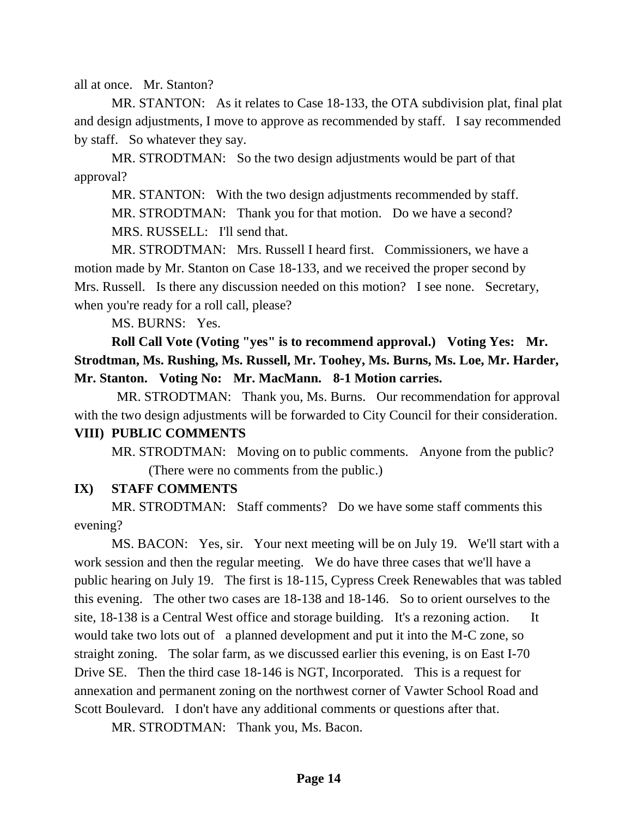all at once. Mr. Stanton?

MR. STANTON: As it relates to Case 18-133, the OTA subdivision plat, final plat and design adjustments, I move to approve as recommended by staff. I say recommended by staff. So whatever they say.

MR. STRODTMAN: So the two design adjustments would be part of that approval?

MR. STANTON: With the two design adjustments recommended by staff. MR. STRODTMAN: Thank you for that motion. Do we have a second? MRS. RUSSELL: I'll send that.

MR. STRODTMAN: Mrs. Russell I heard first. Commissioners, we have a motion made by Mr. Stanton on Case 18-133, and we received the proper second by Mrs. Russell. Is there any discussion needed on this motion? I see none. Secretary, when you're ready for a roll call, please?

MS. BURNS: Yes.

**Roll Call Vote (Voting "yes" is to recommend approval.) Voting Yes: Mr. Strodtman, Ms. Rushing, Ms. Russell, Mr. Toohey, Ms. Burns, Ms. Loe, Mr. Harder, Mr. Stanton. Voting No: Mr. MacMann. 8-1 Motion carries.** 

MR. STRODTMAN: Thank you, Ms. Burns. Our recommendation for approval with the two design adjustments will be forwarded to City Council for their consideration.

## **VIII) PUBLIC COMMENTS**

MR. STRODTMAN: Moving on to public comments. Anyone from the public? (There were no comments from the public.)

### **IX) STAFF COMMENTS**

MR. STRODTMAN: Staff comments? Do we have some staff comments this evening?

MS. BACON: Yes, sir. Your next meeting will be on July 19. We'll start with a work session and then the regular meeting. We do have three cases that we'll have a public hearing on July 19. The first is 18-115, Cypress Creek Renewables that was tabled this evening. The other two cases are 18-138 and 18-146. So to orient ourselves to the site, 18-138 is a Central West office and storage building. It's a rezoning action. It would take two lots out of a planned development and put it into the M-C zone, so straight zoning. The solar farm, as we discussed earlier this evening, is on East I-70 Drive SE. Then the third case 18-146 is NGT, Incorporated. This is a request for annexation and permanent zoning on the northwest corner of Vawter School Road and Scott Boulevard. I don't have any additional comments or questions after that.

MR. STRODTMAN: Thank you, Ms. Bacon.